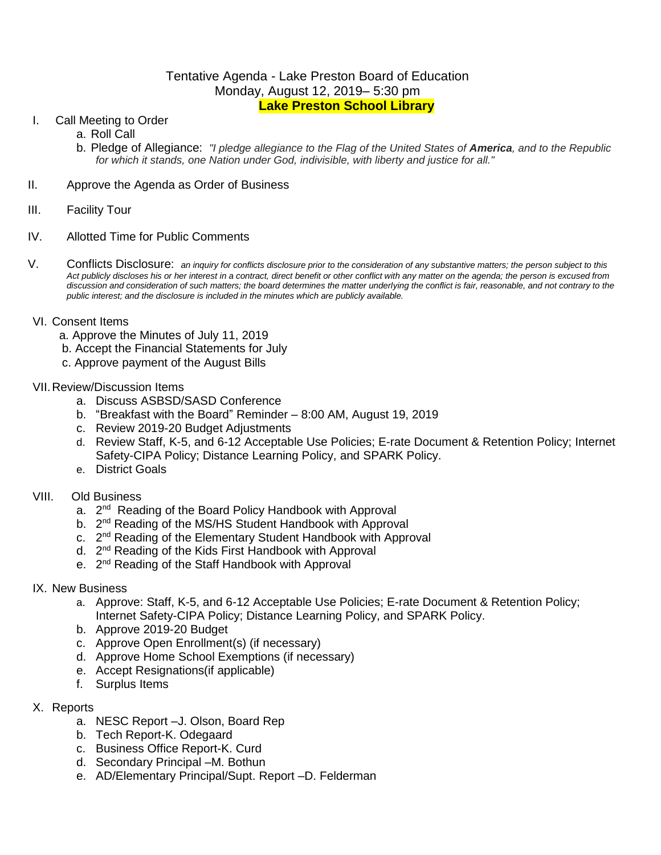# Tentative Agenda - Lake Preston Board of Education Monday, August 12, 2019– 5:30 pm **Lake Preston School Library**

- I. Call Meeting to Order
	- a. Roll Call
	- b. Pledge of Allegiance: *"I pledge allegiance to the Flag of the United States of America, and to the Republic for which it stands, one Nation under God, indivisible, with liberty and justice for all."*
- II. Approve the Agenda as Order of Business
- III. Facility Tour
- IV. Allotted Time for Public Comments
- V. Conflicts Disclosure: *an inquiry for conflicts disclosure prior to the consideration of any substantive matters; the person subject to this Act publicly discloses his or her interest in a contract, direct benefit or other conflict with any matter on the agenda; the person is excused from discussion and consideration of such matters; the board determines the matter underlying the conflict is fair, reasonable, and not contrary to the public interest; and the disclosure is included in the minutes which are publicly available.*
- VI. Consent Items
	- a. Approve the Minutes of July 11, 2019
	- b. Accept the Financial Statements for July
	- c. Approve payment of the August Bills

### VII.Review/Discussion Items

- a. Discuss ASBSD/SASD Conference
- b. "Breakfast with the Board" Reminder 8:00 AM, August 19, 2019
- c. Review 2019-20 Budget Adjustments
- d. Review Staff, K-5, and 6-12 Acceptable Use Policies; E-rate Document & Retention Policy; Internet Safety-CIPA Policy; Distance Learning Policy, and SPARK Policy.
- e. District Goals
- VIII. Old Business
	- a. 2<sup>nd</sup> Reading of the Board Policy Handbook with Approval
	- b. 2<sup>nd</sup> Reading of the MS/HS Student Handbook with Approval
	- c. 2<sup>nd</sup> Reading of the Elementary Student Handbook with Approval
	- d. 2<sup>nd</sup> Reading of the Kids First Handbook with Approval
	- e. 2<sup>nd</sup> Reading of the Staff Handbook with Approval
- IX. New Business
	- a. Approve: Staff, K-5, and 6-12 Acceptable Use Policies; E-rate Document & Retention Policy; Internet Safety-CIPA Policy; Distance Learning Policy, and SPARK Policy.
	- b. Approve 2019-20 Budget
	- c. Approve Open Enrollment(s) (if necessary)
	- d. Approve Home School Exemptions (if necessary)
	- e. Accept Resignations(if applicable)
	- f. Surplus Items
- X. Reports
	- a. NESC Report –J. Olson, Board Rep
	- b. Tech Report-K. Odegaard
	- c. Business Office Report-K. Curd
	- d. Secondary Principal –M. Bothun
	- e. AD/Elementary Principal/Supt. Report –D. Felderman